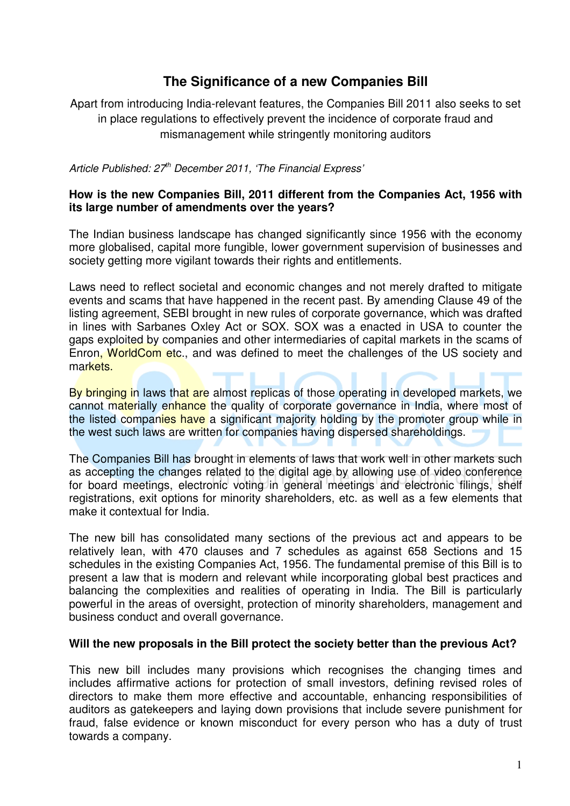# **The Significance of a new Companies Bill**

Apart from introducing India-relevant features, the Companies Bill 2011 also seeks to set in place regulations to effectively prevent the incidence of corporate fraud and mismanagement while stringently monitoring auditors

*Article Published: 27th December 2011, 'The Financial Express'* 

## **How is the new Companies Bill, 2011 different from the Companies Act, 1956 with its large number of amendments over the years?**

The Indian business landscape has changed significantly since 1956 with the economy more globalised, capital more fungible, lower government supervision of businesses and society getting more vigilant towards their rights and entitlements.

Laws need to reflect societal and economic changes and not merely drafted to mitigate events and scams that have happened in the recent past. By amending Clause 49 of the listing agreement, SEBI brought in new rules of corporate governance, which was drafted in lines with Sarbanes Oxley Act or SOX. SOX was a enacted in USA to counter the gaps exploited by companies and other intermediaries of capital markets in the scams of Enron, WorldCom etc., and was defined to meet the challenges of the US society and markets.

By bringing in laws that are almost replicas of those operating in developed markets, we cannot materially enhance the quality of corporate governance in India, where most of the listed companies have a significant majority holding by the promoter group while in the west such laws are written for companies having dispersed shareholdings.

The Companies Bill has brought in elements of laws that work well in other markets such as accepting the changes related to the digital age by allowing use of video conference for board meetings, electronic voting in general meetings and electronic filings, shelf registrations, exit options for minority shareholders, etc. as well as a few elements that make it contextual for India.

The new bill has consolidated many sections of the previous act and appears to be relatively lean, with 470 clauses and 7 schedules as against 658 Sections and 15 schedules in the existing Companies Act, 1956. The fundamental premise of this Bill is to present a law that is modern and relevant while incorporating global best practices and balancing the complexities and realities of operating in India. The Bill is particularly powerful in the areas of oversight, protection of minority shareholders, management and business conduct and overall governance.

## **Will the new proposals in the Bill protect the society better than the previous Act?**

This new bill includes many provisions which recognises the changing times and includes affirmative actions for protection of small investors, defining revised roles of directors to make them more effective and accountable, enhancing responsibilities of auditors as gatekeepers and laying down provisions that include severe punishment for fraud, false evidence or known misconduct for every person who has a duty of trust towards a company.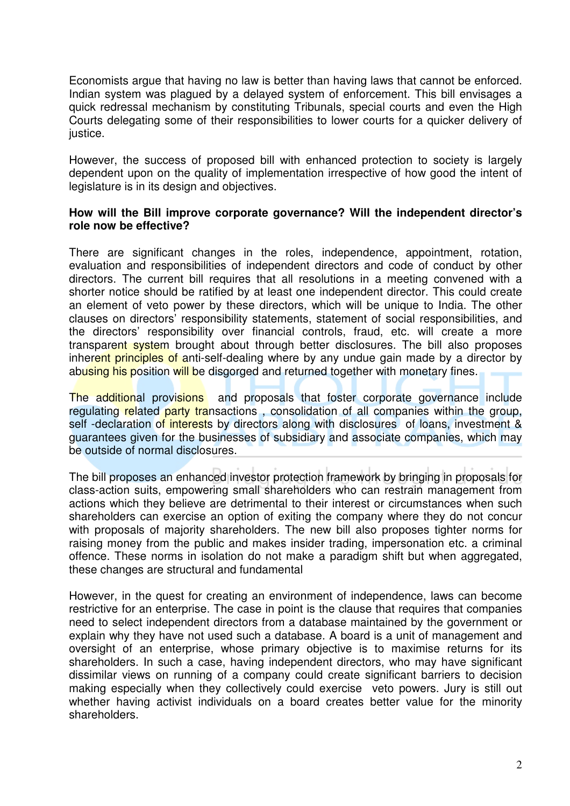Economists argue that having no law is better than having laws that cannot be enforced. Indian system was plagued by a delayed system of enforcement. This bill envisages a quick redressal mechanism by constituting Tribunals, special courts and even the High Courts delegating some of their responsibilities to lower courts for a quicker delivery of justice.

However, the success of proposed bill with enhanced protection to society is largely dependent upon on the quality of implementation irrespective of how good the intent of legislature is in its design and objectives.

#### **How will the Bill improve corporate governance? Will the independent director's role now be effective?**

There are significant changes in the roles, independence, appointment, rotation, evaluation and responsibilities of independent directors and code of conduct by other directors. The current bill requires that all resolutions in a meeting convened with a shorter notice should be ratified by at least one independent director. This could create an element of veto power by these directors, which will be unique to India. The other clauses on directors' responsibility statements, statement of social responsibilities, and the directors' responsibility over financial controls, fraud, etc. will create a more transparent system brought about through better disclosures. The bill also proposes inherent principles of anti-self-dealing where by any undue gain made by a director by abusing his position will be disgorged and returned together with monetary fines.

The additional provisions and proposals that foster corporate governance include regulating related party transactions, consolidation of all companies within the group, self -declaration of interests by directors along with disclosures of loans, investment & guarantees given for the businesses of subsidiary and associate companies, which may be outside of normal disclosures.

The bill proposes an enhanced investor protection framework by bringing in proposals for class-action suits, empowering small shareholders who can restrain management from actions which they believe are detrimental to their interest or circumstances when such shareholders can exercise an option of exiting the company where they do not concur with proposals of majority shareholders. The new bill also proposes tighter norms for raising money from the public and makes insider trading, impersonation etc. a criminal offence. These norms in isolation do not make a paradigm shift but when aggregated, these changes are structural and fundamental

However, in the quest for creating an environment of independence, laws can become restrictive for an enterprise. The case in point is the clause that requires that companies need to select independent directors from a database maintained by the government or explain why they have not used such a database. A board is a unit of management and oversight of an enterprise, whose primary objective is to maximise returns for its shareholders. In such a case, having independent directors, who may have significant dissimilar views on running of a company could create significant barriers to decision making especially when they collectively could exercise veto powers. Jury is still out whether having activist individuals on a board creates better value for the minority shareholders.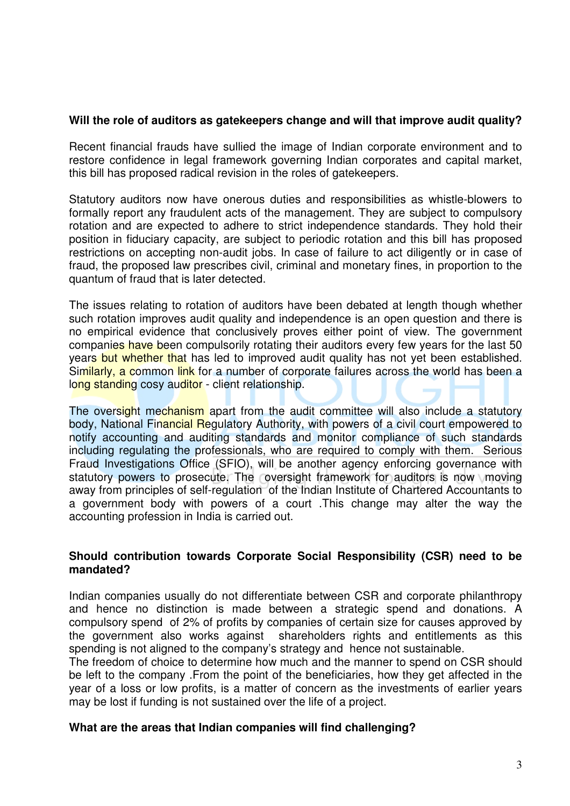## **Will the role of auditors as gatekeepers change and will that improve audit quality?**

Recent financial frauds have sullied the image of Indian corporate environment and to restore confidence in legal framework governing Indian corporates and capital market, this bill has proposed radical revision in the roles of gatekeepers.

Statutory auditors now have onerous duties and responsibilities as whistle-blowers to formally report any fraudulent acts of the management. They are subject to compulsory rotation and are expected to adhere to strict independence standards. They hold their position in fiduciary capacity, are subject to periodic rotation and this bill has proposed restrictions on accepting non-audit jobs. In case of failure to act diligently or in case of fraud, the proposed law prescribes civil, criminal and monetary fines, in proportion to the quantum of fraud that is later detected.

The issues relating to rotation of auditors have been debated at length though whether such rotation improves audit quality and independence is an open question and there is no empirical evidence that conclusively proves either point of view. The government companies have been compulsorily rotating their auditors every few years for the last 50 years but whether that has led to improved audit quality has not yet been established. Similarly, a common link for a number of corporate failures across the world has been a long standing cosy auditor - client relationship.

The oversight mechanism apart from the audit committee will also include a statutory body, National Financial Regulatory Authority, with powers of a civil court empowered to notify accounting and auditing standards and monitor compliance of such standards including regulating the professionals, who are required to comply with them. Serious Fraud Investigations Office (SFIO), will be another agency enforcing governance with statutory powers to prosecute. The oversight framework for auditors is now moving away from principles of self-regulation of the Indian Institute of Chartered Accountants to a government body with powers of a court .This change may alter the way the accounting profession in India is carried out.

## **Should contribution towards Corporate Social Responsibility (CSR) need to be mandated?**

Indian companies usually do not differentiate between CSR and corporate philanthropy and hence no distinction is made between a strategic spend and donations. A compulsory spend of 2% of profits by companies of certain size for causes approved by the government also works against shareholders rights and entitlements as this spending is not aligned to the company's strategy and hence not sustainable.

The freedom of choice to determine how much and the manner to spend on CSR should be left to the company .From the point of the beneficiaries, how they get affected in the year of a loss or low profits, is a matter of concern as the investments of earlier years may be lost if funding is not sustained over the life of a project.

## **What are the areas that Indian companies will find challenging?**